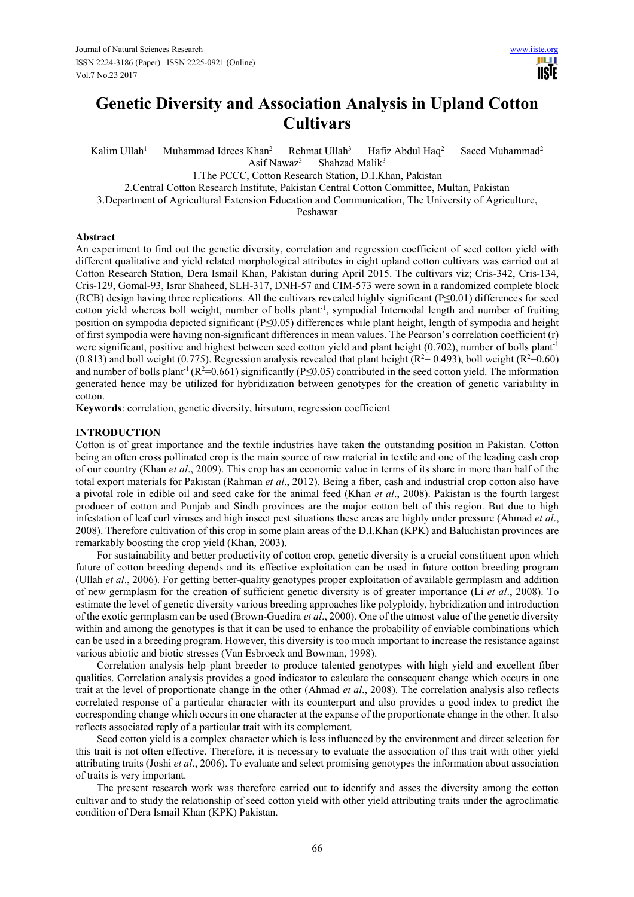# **Genetic Diversity and Association Analysis in Upland Cotton Cultivars**

Kalim  $Ullah<sup>1</sup>$  Muhammad Idrees Khan<sup>2</sup> Rehmat Ullah<sup>3</sup> Hafiz Abdul Haq<sup>2</sup> Saeed Muhammad<sup>2</sup> Asif Nawaz<sup>3</sup> Shahzad Malik<sup>3</sup>

1.The PCCC, Cotton Research Station, D.I.Khan, Pakistan

2.Central Cotton Research Institute, Pakistan Central Cotton Committee, Multan, Pakistan

3.Department of Agricultural Extension Education and Communication, The University of Agriculture,

Peshawar

# **Abstract**

An experiment to find out the genetic diversity, correlation and regression coefficient of seed cotton yield with different qualitative and yield related morphological attributes in eight upland cotton cultivars was carried out at Cotton Research Station, Dera Ismail Khan, Pakistan during April 2015. The cultivars viz; Cris-342, Cris-134, Cris-129, Gomal-93, Israr Shaheed, SLH-317, DNH-57 and CIM-573 were sown in a randomized complete block (RCB) design having three replications. All the cultivars revealed highly significant (P≤0.01) differences for seed cotton yield whereas boll weight, number of bolls plant<sup>-1</sup>, sympodial Internodal length and number of fruiting position on sympodia depicted significant (P≤0.05) differences while plant height, length of sympodia and height of first sympodia were having non-significant differences in mean values. The Pearson's correlation coefficient (r) were significant, positive and highest between seed cotton yield and plant height (0.702), number of bolls plant<sup>-1</sup> (0.813) and boll weight (0.775). Regression analysis revealed that plant height ( $R^2=0.493$ ), boll weight ( $R^2=0.60$ ) and number of bolls plant<sup>-1</sup> ( $R^2$ =0.661) significantly ( $P \le 0.05$ ) contributed in the seed cotton yield. The information generated hence may be utilized for hybridization between genotypes for the creation of genetic variability in cotton.

**Keywords**: correlation, genetic diversity, hirsutum, regression coefficient

# **INTRODUCTION**

Cotton is of great importance and the textile industries have taken the outstanding position in Pakistan. Cotton being an often cross pollinated crop is the main source of raw material in textile and one of the leading cash crop of our country (Khan *et al*., 2009). This crop has an economic value in terms of its share in more than half of the total export materials for Pakistan (Rahman *et al*., 2012). Being a fiber, cash and industrial crop cotton also have a pivotal role in edible oil and seed cake for the animal feed (Khan *et al*., 2008). Pakistan is the fourth largest producer of cotton and Punjab and Sindh provinces are the major cotton belt of this region. But due to high infestation of leaf curl viruses and high insect pest situations these areas are highly under pressure (Ahmad *et al*., 2008). Therefore cultivation of this crop in some plain areas of the D.I.Khan (KPK) and Baluchistan provinces are remarkably boosting the crop yield (Khan, 2003).

For sustainability and better productivity of cotton crop, genetic diversity is a crucial constituent upon which future of cotton breeding depends and its effective exploitation can be used in future cotton breeding program (Ullah *et al*., 2006). For getting better-quality genotypes proper exploitation of available germplasm and addition of new germplasm for the creation of sufficient genetic diversity is of greater importance (Li *et al*., 2008). To estimate the level of genetic diversity various breeding approaches like polyploidy, hybridization and introduction of the exotic germplasm can be used (Brown-Guedira *et al*., 2000). One of the utmost value of the genetic diversity within and among the genotypes is that it can be used to enhance the probability of enviable combinations which can be used in a breeding program. However, this diversity is too much important to increase the resistance against various abiotic and biotic stresses (Van Esbroeck and Bowman, 1998).

Correlation analysis help plant breeder to produce talented genotypes with high yield and excellent fiber qualities. Correlation analysis provides a good indicator to calculate the consequent change which occurs in one trait at the level of proportionate change in the other (Ahmad *et al*., 2008). The correlation analysis also reflects correlated response of a particular character with its counterpart and also provides a good index to predict the corresponding change which occurs in one character at the expanse of the proportionate change in the other. It also reflects associated reply of a particular trait with its complement.

Seed cotton yield is a complex character which is less influenced by the environment and direct selection for this trait is not often effective. Therefore, it is necessary to evaluate the association of this trait with other yield attributing traits (Joshi *et al*., 2006). To evaluate and select promising genotypes the information about association of traits is very important.

The present research work was therefore carried out to identify and asses the diversity among the cotton cultivar and to study the relationship of seed cotton yield with other yield attributing traits under the agroclimatic condition of Dera Ismail Khan (KPK) Pakistan.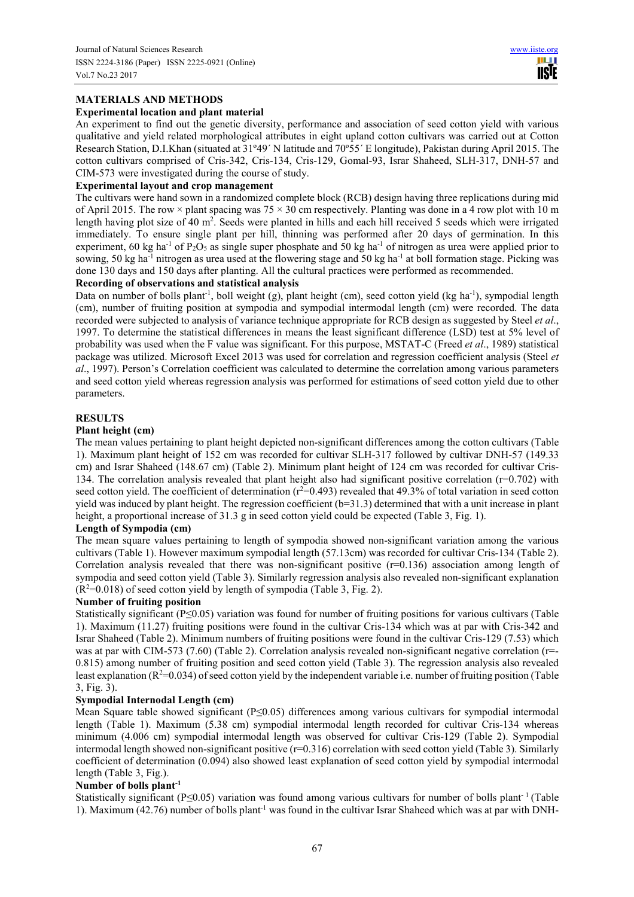# **MATERIALS AND METHODS**

# **Experimental location and plant material**

An experiment to find out the genetic diversity, performance and association of seed cotton yield with various qualitative and yield related morphological attributes in eight upland cotton cultivars was carried out at Cotton Research Station, D.I.Khan (situated at 31º49´ N latitude and 70º55´ E longitude), Pakistan during April 2015. The cotton cultivars comprised of Cris-342, Cris-134, Cris-129, Gomal-93, Israr Shaheed, SLH-317, DNH-57 and CIM-573 were investigated during the course of study.

# **Experimental layout and crop management**

The cultivars were hand sown in a randomized complete block (RCB) design having three replications during mid of April 2015. The row  $\times$  plant spacing was 75  $\times$  30 cm respectively. Planting was done in a 4 row plot with 10 m length having plot size of 40 m<sup>2</sup>. Seeds were planted in hills and each hill received 5 seeds which were irrigated immediately. To ensure single plant per hill, thinning was performed after 20 days of germination. In this experiment, 60 kg ha<sup>-1</sup> of P<sub>2</sub>O<sub>5</sub> as single super phosphate and 50 kg ha<sup>-1</sup> of nitrogen as urea were applied prior to sowing, 50 kg ha<sup>-1</sup> nitrogen as urea used at the flowering stage and 50 kg ha<sup>-1</sup> at boll formation stage. Picking was done 130 days and 150 days after planting. All the cultural practices were performed as recommended.

#### **Recording of observations and statistical analysis**

Data on number of bolls plant<sup>-1</sup>, boll weight (g), plant height (cm), seed cotton yield (kg ha<sup>-1</sup>), sympodial length (cm), number of fruiting position at sympodia and sympodial intermodal length (cm) were recorded. The data recorded were subjected to analysis of variance technique appropriate for RCB design as suggested by Steel *et al*., 1997. To determine the statistical differences in means the least significant difference (LSD) test at 5% level of probability was used when the F value was significant. For this purpose, MSTAT-C (Freed *et al*., 1989) statistical package was utilized. Microsoft Excel 2013 was used for correlation and regression coefficient analysis (Steel *et al*., 1997). Person's Correlation coefficient was calculated to determine the correlation among various parameters and seed cotton yield whereas regression analysis was performed for estimations of seed cotton yield due to other parameters.

# **RESULTS**

#### **Plant height (cm)**

The mean values pertaining to plant height depicted non-significant differences among the cotton cultivars (Table 1). Maximum plant height of 152 cm was recorded for cultivar SLH-317 followed by cultivar DNH-57 (149.33 cm) and Israr Shaheed (148.67 cm) (Table 2). Minimum plant height of 124 cm was recorded for cultivar Cris-134. The correlation analysis revealed that plant height also had significant positive correlation  $(r=0.702)$  with seed cotton yield. The coefficient of determination ( $r^2$ =0.493) revealed that 49.3% of total variation in seed cotton yield was induced by plant height. The regression coefficient (b=31.3) determined that with a unit increase in plant height, a proportional increase of 31.3 g in seed cotton yield could be expected (Table 3, Fig. 1).

#### **Length of Sympodia (cm)**

The mean square values pertaining to length of sympodia showed non-significant variation among the various cultivars (Table 1). However maximum sympodial length (57.13cm) was recorded for cultivar Cris-134 (Table 2). Correlation analysis revealed that there was non-significant positive  $(r=0.136)$  association among length of sympodia and seed cotton yield (Table 3). Similarly regression analysis also revealed non-significant explanation  $(R^2=0.018)$  of seed cotton yield by length of sympodia (Table 3, Fig. 2).

### **Number of fruiting position**

Statistically significant (P≤0.05) variation was found for number of fruiting positions for various cultivars (Table 1). Maximum (11.27) fruiting positions were found in the cultivar Cris-134 which was at par with Cris-342 and Israr Shaheed (Table 2). Minimum numbers of fruiting positions were found in the cultivar Cris-129 (7.53) which was at par with CIM-573 (7.60) (Table 2). Correlation analysis revealed non-significant negative correlation (r=-0.815) among number of fruiting position and seed cotton yield (Table 3). The regression analysis also revealed least explanation ( $R^2$ =0.034) of seed cotton yield by the independent variable i.e. number of fruiting position (Table 3, Fig. 3).

#### **Sympodial Internodal Length (cm)**

Mean Square table showed significant (P≤0.05) differences among various cultivars for sympodial intermodal length (Table 1). Maximum (5.38 cm) sympodial intermodal length recorded for cultivar Cris-134 whereas minimum (4.006 cm) sympodial intermodal length was observed for cultivar Cris-129 (Table 2). Sympodial intermodal length showed non-significant positive (r=0.316) correlation with seed cotton yield (Table 3). Similarly coefficient of determination (0.094) also showed least explanation of seed cotton yield by sympodial intermodal length (Table 3, Fig.).

# **Number of bolls plant-1**

Statistically significant (P≤0.05) variation was found among various cultivars for number of bolls plant<sup>-1</sup> (Table 1). Maximum (42.76) number of bolls plant<sup>-1</sup> was found in the cultivar Israr Shaheed which was at par with DNH-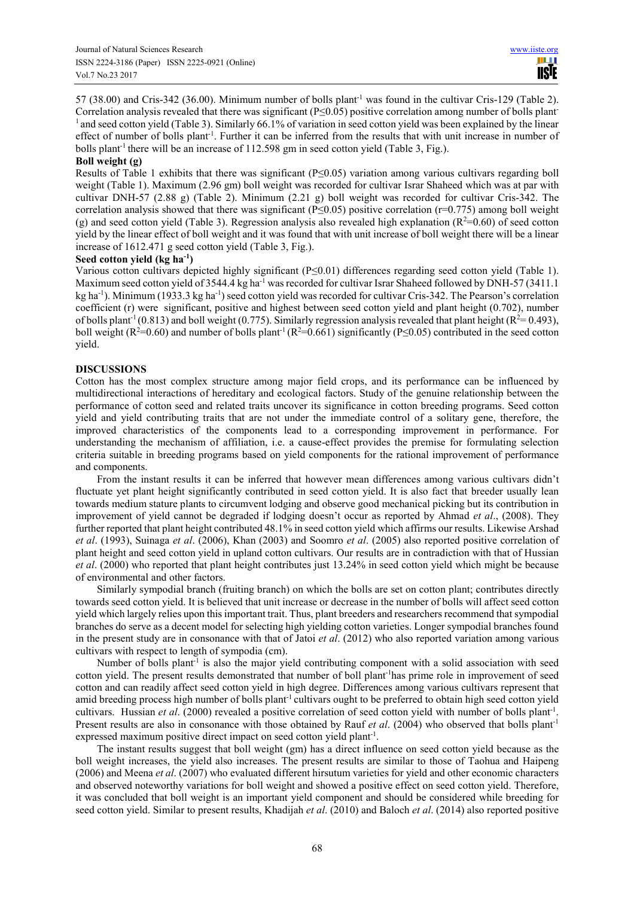57 (38.00) and Cris-342 (36.00). Minimum number of bolls plant-1 was found in the cultivar Cris-129 (Table 2). Correlation analysis revealed that there was significant ( $P \le 0.05$ ) positive correlation among number of bolls plant-<sup>1</sup> and seed cotton yield (Table 3). Similarly 66.1% of variation in seed cotton yield was been explained by the linear effect of number of bolls plant<sup>-1</sup>. Further it can be inferred from the results that with unit increase in number of bolls plant<sup>-1</sup> there will be an increase of  $112.598$  gm in seed cotton yield (Table 3, Fig.).

# **Boll weight (g)**

Results of Table 1 exhibits that there was significant (P≤0.05) variation among various cultivars regarding boll weight (Table 1). Maximum (2.96 gm) boll weight was recorded for cultivar Israr Shaheed which was at par with cultivar DNH-57 (2.88 g) (Table 2). Minimum (2.21 g) boll weight was recorded for cultivar Cris-342. The correlation analysis showed that there was significant ( $P \le 0.05$ ) positive correlation ( $r=0.775$ ) among boll weight (g) and seed cotton yield (Table 3). Regression analysis also revealed high explanation ( $R^2=0.60$ ) of seed cotton yield by the linear effect of boll weight and it was found that with unit increase of boll weight there will be a linear increase of 1612.471 g seed cotton yield (Table 3, Fig.).

# **Seed cotton yield (kg ha-1)**

Various cotton cultivars depicted highly significant (P≤0.01) differences regarding seed cotton yield (Table 1). Maximum seed cotton yield of 3544.4 kg ha<sup>-1</sup> was recorded for cultivar Israr Shaheed followed by DNH-57 (3411.1) kg ha<sup>-1</sup>). Minimum (1933.3 kg ha<sup>-1</sup>) seed cotton yield was recorded for cultivar Cris-342. The Pearson's correlation coefficient (r) were significant, positive and highest between seed cotton yield and plant height (0.702), number of bolls plant<sup>-1</sup> (0.813) and boll weight (0.775). Similarly regression analysis revealed that plant height ( $R^2=0.493$ ), boll weight ( $R^2=0.60$ ) and number of bolls plant<sup>-1</sup> ( $R^2=0.661$ ) significantly ( $P\leq 0.05$ ) contributed in the seed cotton yield.

# **DISCUSSIONS**

Cotton has the most complex structure among major field crops, and its performance can be influenced by multidirectional interactions of hereditary and ecological factors. Study of the genuine relationship between the performance of cotton seed and related traits uncover its significance in cotton breeding programs. Seed cotton yield and yield contributing traits that are not under the immediate control of a solitary gene, therefore, the improved characteristics of the components lead to a corresponding improvement in performance. For understanding the mechanism of affiliation, i.e. a cause-effect provides the premise for formulating selection criteria suitable in breeding programs based on yield components for the rational improvement of performance and components.

From the instant results it can be inferred that however mean differences among various cultivars didn't fluctuate yet plant height significantly contributed in seed cotton yield. It is also fact that breeder usually lean towards medium stature plants to circumvent lodging and observe good mechanical picking but its contribution in improvement of yield cannot be degraded if lodging doesn't occur as reported by Ahmad *et al*., (2008). They further reported that plant height contributed 48.1% in seed cotton yield which affirms our results. Likewise Arshad *et al*. (1993), Suinaga *et al*. (2006), Khan (2003) and Soomro *et al*. (2005) also reported positive correlation of plant height and seed cotton yield in upland cotton cultivars. Our results are in contradiction with that of Hussian *et al*. (2000) who reported that plant height contributes just 13.24% in seed cotton yield which might be because of environmental and other factors.

Similarly sympodial branch (fruiting branch) on which the bolls are set on cotton plant; contributes directly towards seed cotton yield. It is believed that unit increase or decrease in the number of bolls will affect seed cotton yield which largely relies upon this important trait. Thus, plant breeders and researchers recommend that sympodial branches do serve as a decent model for selecting high yielding cotton varieties. Longer sympodial branches found in the present study are in consonance with that of Jatoi *et al*. (2012) who also reported variation among various cultivars with respect to length of sympodia (cm).

Number of bolls plant<sup>-1</sup> is also the major yield contributing component with a solid association with seed cotton yield. The present results demonstrated that number of boll plant-1has prime role in improvement of seed cotton and can readily affect seed cotton yield in high degree. Differences among various cultivars represent that amid breeding process high number of bolls plant<sup>-1</sup> cultivars ought to be preferred to obtain high seed cotton yield cultivars. Hussian *et al.* (2000) revealed a positive correlation of seed cotton yield with number of bolls plant<sup>-1</sup>. Present results are also in consonance with those obtained by Rauf *et al.* (2004) who observed that bolls plant<sup>-1</sup> expressed maximum positive direct impact on seed cotton yield plant<sup>-1</sup>.

The instant results suggest that boll weight (gm) has a direct influence on seed cotton yield because as the boll weight increases, the yield also increases. The present results are similar to those of Taohua and Haipeng (2006) and Meena *et al*. (2007) who evaluated different hirsutum varieties for yield and other economic characters and observed noteworthy variations for boll weight and showed a positive effect on seed cotton yield. Therefore, it was concluded that boll weight is an important yield component and should be considered while breeding for seed cotton yield. Similar to present results, Khadijah *et al*. (2010) and Baloch *et al*. (2014) also reported positive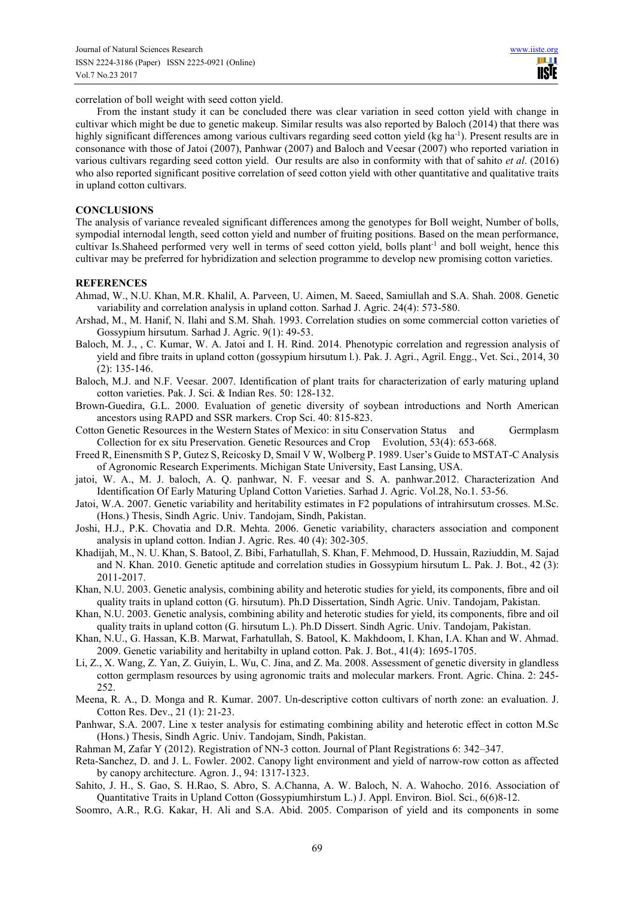correlation of boll weight with seed cotton yield.

From the instant study it can be concluded there was clear variation in seed cotton yield with change in cultivar which might be due to genetic makeup. Similar results was also reported by Baloch (2014) that there was highly significant differences among various cultivars regarding seed cotton yield (kg ha<sup>-1</sup>). Present results are in consonance with those of Jatoi (2007), Panhwar (2007) and Baloch and Veesar (2007) who reported variation in various cultivars regarding seed cotton yield. Our results are also in conformity with that of sahito *et al*. (2016) who also reported significant positive correlation of seed cotton yield with other quantitative and qualitative traits in upland cotton cultivars.

# **CONCLUSIONS**

The analysis of variance revealed significant differences among the genotypes for Boll weight, Number of bolls, sympodial internodal length, seed cotton yield and number of fruiting positions. Based on the mean performance, cultivar Is.Shaheed performed very well in terms of seed cotton yield, bolls plant<sup>-1</sup> and boll weight, hence this cultivar may be preferred for hybridization and selection programme to develop new promising cotton varieties.

# **REFERENCES**

- Ahmad, W., N.U. Khan, M.R. Khalil, A. Parveen, U. Aimen, M. Saeed, Samiullah and S.A. Shah. 2008. Genetic variability and correlation analysis in upland cotton. Sarhad J. Agric. 24(4): 573-580.
- Arshad, M., M. Hanif, N. Ilahi and S.M. Shah. 1993. Correlation studies on some commercial cotton varieties of Gossypium hirsutum. Sarhad J. Agric. 9(1): 49-53.
- Baloch, M. J., , C. Kumar, W. A. Jatoi and I. H. Rind. 2014. Phenotypic correlation and regression analysis of yield and fibre traits in upland cotton (gossypium hirsutum l.). Pak. J. Agri., Agril. Engg., Vet. Sci., 2014, 30 (2): 135-146.
- Baloch, M.J. and N.F. Veesar. 2007. Identification of plant traits for characterization of early maturing upland cotton varieties. Pak. J. Sci. & Indian Res. 50: 128-132.
- Brown-Guedira, G.L. 2000. Evaluation of genetic diversity of soybean introductions and North American ancestors using RAPD and SSR markers. Crop Sci. 40: 815-823.
- Cotton Genetic Resources in the Western States of Mexico: in situ Conservation Status and Germplasm Collection for ex situ Preservation. Genetic Resources and Crop Evolution, 53(4): 653-668.
- Freed R, Einensmith S P, Gutez S, Reicosky D, Smail V W, Wolberg P. 1989. User's Guide to MSTAT-C Analysis of Agronomic Research Experiments. Michigan State University, East Lansing, USA.
- jatoi, W. A., M. J. baloch, A. Q. panhwar, N. F. veesar and S. A. panhwar.2012. Characterization And Identification Of Early Maturing Upland Cotton Varieties. Sarhad J. Agric. Vol.28, No.1. 53-56.
- Jatoi, W.A. 2007. Genetic variability and heritability estimates in F2 populations of intrahirsutum crosses. M.Sc. (Hons.) Thesis, Sindh Agric. Univ. Tandojam, Sindh, Pakistan.
- Joshi, H.J., P.K. Chovatia and D.R. Mehta. 2006. Genetic variability, characters association and component analysis in upland cotton. Indian J. Agric. Res. 40 (4): 302-305.
- Khadijah, M., N. U. Khan, S. Batool, Z. Bibi, Farhatullah, S. Khan, F. Mehmood, D. Hussain, Raziuddin, M. Sajad and N. Khan. 2010. Genetic aptitude and correlation studies in Gossypium hirsutum L. Pak. J. Bot., 42 (3): 2011-2017.
- Khan, N.U. 2003. Genetic analysis, combining ability and heterotic studies for yield, its components, fibre and oil quality traits in upland cotton (G. hirsutum). Ph.D Dissertation, Sindh Agric. Univ. Tandojam, Pakistan.
- Khan, N.U. 2003. Genetic analysis, combining ability and heterotic studies for yield, its components, fibre and oil quality traits in upland cotton (G. hirsutum L.). Ph.D Dissert. Sindh Agric. Univ. Tandojam, Pakistan.
- Khan, N.U., G. Hassan, K.B. Marwat, Farhatullah, S. Batool, K. Makhdoom, I. Khan, I.A. Khan and W. Ahmad. 2009. Genetic variability and heritabilty in upland cotton. Pak. J. Bot., 41(4): 1695-1705.
- Li, Z., X. Wang, Z. Yan, Z. Guiyin, L. Wu, C. Jina, and Z. Ma. 2008. Assessment of genetic diversity in glandless cotton germplasm resources by using agronomic traits and molecular markers. Front. Agric. China. 2: 245- 252.
- Meena, R. A., D. Monga and R. Kumar. 2007. Un-descriptive cotton cultivars of north zone: an evaluation. J. Cotton Res. Dev., 21 (1): 21-23.
- Panhwar, S.A. 2007. Line x tester analysis for estimating combining ability and heterotic effect in cotton M.Sc (Hons.) Thesis, Sindh Agric. Univ. Tandojam, Sindh, Pakistan.
- Rahman M, Zafar Y (2012). Registration of NN-3 cotton. Journal of Plant Registrations 6: 342–347.
- Reta-Sanchez, D. and J. L. Fowler. 2002. Canopy light environment and yield of narrow-row cotton as affected by canopy architecture. Agron. J., 94: 1317-1323.
- Sahito, J. H., S. Gao, S. H.Rao, S. Abro, S. A.Channa, A. W. Baloch, N. A. Wahocho. 2016. Association of Quantitative Traits in Upland Cotton (Gossypiumhirstum L.) J. Appl. Environ. Biol. Sci., 6(6)8-12.
- Soomro, A.R., R.G. Kakar, H. Ali and S.A. Abid. 2005. Comparison of yield and its components in some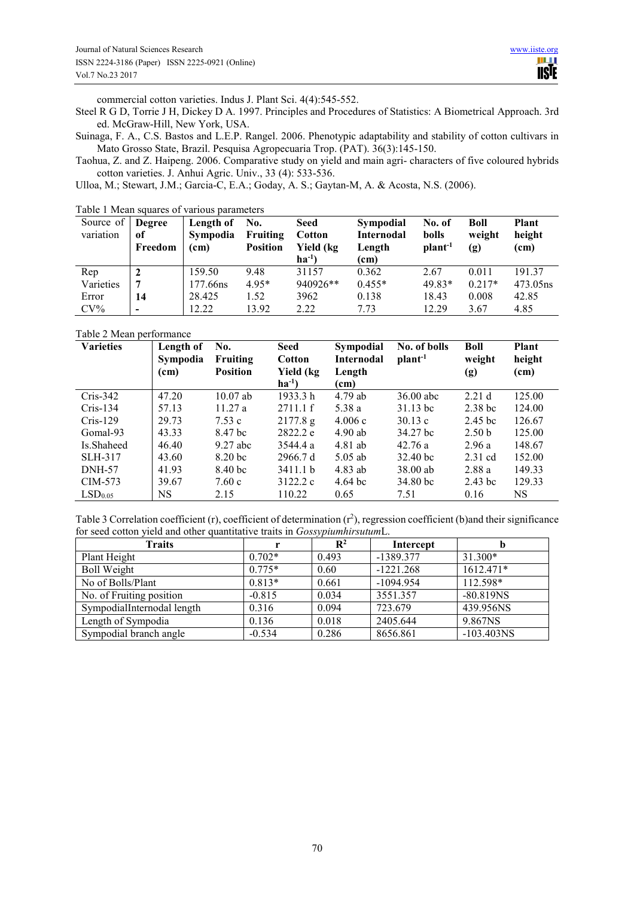commercial cotton varieties. Indus J. Plant Sci. 4(4):545-552.

Steel R G D, Torrie J H, Dickey D A. 1997. Principles and Procedures of Statistics: A Biometrical Approach. 3rd ed. McGraw-Hill, New York, USA.

Suinaga, F. A., C.S. Bastos and L.E.P. Rangel. 2006. Phenotypic adaptability and stability of cotton cultivars in Mato Grosso State, Brazil. Pesquisa Agropecuaria Trop. (PAT). 36(3):145-150.

Taohua, Z. and Z. Haipeng. 2006. Comparative study on yield and main agri- characters of five coloured hybrids cotton varieties. J. Anhui Agric. Univ., 33 (4): 533-536.

Ulloa, M.; Stewart, J.M.; Garcia-C, E.A.; Goday, A. S.; Gaytan-M, A. & Acosta, N.S. (2006).

| Source of<br>variation | <b>Degree</b><br>0f<br>Freedom | Length of<br><b>Sympodia</b><br>(cm) | No.<br>Fruiting<br><b>Position</b> | <b>Seed</b><br><b>Cotton</b><br>Yield (kg<br>$ha^{-1}$ | <b>Sympodial</b><br><b>Internodal</b><br>Length<br>(cm) | No. of<br>bolls<br>plant <sup>-1</sup> | Boll<br>weight<br>(g) | <b>Plant</b><br>height<br>(cm) |
|------------------------|--------------------------------|--------------------------------------|------------------------------------|--------------------------------------------------------|---------------------------------------------------------|----------------------------------------|-----------------------|--------------------------------|
| Rep                    |                                | 159.50                               | 9.48                               | 31157                                                  | 0.362                                                   | 2.67                                   | 0.011                 | 19137                          |
| Varieties              |                                | 177.66ns                             | 4.95*                              | 940926**                                               | $0.455*$                                                | $49.83*$                               | $0.217*$              | 473.05ns                       |
| Error                  | 14                             | 28.425                               | 1.52                               | 3962                                                   | 0.138                                                   | 18.43                                  | 0.008                 | 42.85                          |
| $CV\%$                 | $\,$                           | 12.22                                | 13.92                              | 2.22                                                   | 7 73                                                    | 12.29                                  | 3.67                  | 4.85                           |

Table 1 Mean squares of various parameters

Table 2 Mean performance

| <b>Varieties</b>    | Length of<br>Sympodia<br>(cm) | No.<br><b>Fruiting</b><br><b>Position</b> | Seed<br>Cotton<br>Yield (kg<br>$ha^{-1}$ | Sympodial<br>Internodal<br>Length<br>(cm) | No. of bolls<br>plan <sup>1</sup> | Boll<br>weight<br>(g) | Plant<br>height<br>(cm) |
|---------------------|-------------------------------|-------------------------------------------|------------------------------------------|-------------------------------------------|-----------------------------------|-----------------------|-------------------------|
| $Cris-342$          | 47.20                         | $10.07$ ab                                | 1933.3 h                                 | 4.79 ab                                   | 36.00 abc                         | 2.21 <sub>d</sub>     | 125.00                  |
| $Cris-134$          | 57.13                         | 11.27a                                    | 2711.1 f                                 | 5.38 a                                    | $31.13$ bc                        | 2.38 <sub>bc</sub>    | 124.00                  |
| $Cris-129$          | 29.73                         | 7.53c                                     | 2177.8 g                                 | 4.006c                                    | 30.13c                            | 2.45 <sub>bc</sub>    | 126.67                  |
| Gomal-93            | 43.33                         | 8.47 bc                                   | 2822.2 e                                 | $4.90$ ab                                 | 34.27 bc                          | 2.50 <sub>b</sub>     | 125.00                  |
| Is.Shaheed          | 46.40                         | $9.27$ abc                                | 3544.4 a                                 | 4.81 ab                                   | 42.76a                            | 2.96a                 | 148.67                  |
| SLH-317             | 43.60                         | 8.20 <sub>bc</sub>                        | 2966.7 d                                 | $5.05$ ab                                 | 32.40 bc                          | $2.31$ cd             | 152.00                  |
| <b>DNH-57</b>       | 41.93                         | 8.40 <sub>bc</sub>                        | 3411.1 <sub>b</sub>                      | 4.83 ab                                   | 38.00 ab                          | 2.88a                 | 149.33                  |
| CIM-573             | 39.67                         | 7.60c                                     | 3122.2 c                                 | $4.64 \text{ bc}$                         | 34.80 bc                          | $2.43$ bc             | 129.33                  |
| LSD <sub>0.05</sub> | NS                            | 2.15                                      | 110.22                                   | 0.65                                      | 7.51                              | 0.16                  | NS                      |

Table 3 Correlation coefficient (r), coefficient of determination (r<sup>2</sup>), regression coefficient (b)and their significance for seed cotton yield and other quantitative traits in *Gossypiumhirsutum*L.

| <b>Traits</b>              |          | $\mathbf{R}^2$ | Intercept   | Ð                        |
|----------------------------|----------|----------------|-------------|--------------------------|
| Plant Height               | $0.702*$ | 0.493          | -1389.377   | $31.300*$                |
| <b>Boll Weight</b>         | $0.775*$ | 0.60           | $-1221.268$ | 1612.471*                |
| No of Bolls/Plant          | $0.813*$ | 0.661          | $-1094.954$ | 112.598*                 |
| No. of Fruiting position   | $-0.815$ | 0.034          | 3551.357    | $-80.819NS$              |
| SympodialInternodal length | 0.316    | 0.094          | 723.679     | 439.956NS                |
| Length of Sympodia         | 0.136    | 0.018          | 2405.644    | 9.867NS                  |
| Sympodial branch angle     | $-0.534$ | 0.286          | 8656.861    | $-103.403$ <sub>NS</sub> |